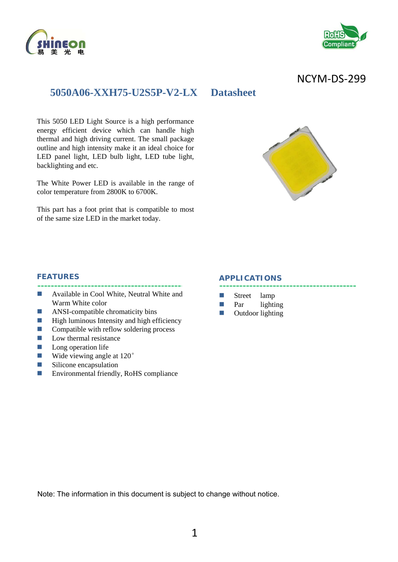



# NCYM‐DS‐299

# **5050A06-XXH75-U2S5P-V2-LX Datasheet**

This 5050 LED Light Source is a high performance energy efficient device which can handle high thermal and high driving current. The small package outline and high intensity make it an ideal choice for LED panel light, LED bulb light, LED tube light, backlighting and etc.

The White Power LED is available in the range of color temperature from 2800K to 6700K.

This part has a foot print that is compatible to most of the same size LED in the market today.



#### **FEATURES**

- **Available in Cool White, Neutral White and** Warm White color
- **ANSI-compatible chromaticity bins**
- $\blacksquare$  High luminous Intensity and high efficiency
- $\Box$  Compatible with reflow soldering process
- $\blacksquare$  Low thermal resistance
- $\Box$  Long operation life
- Wide viewing angle at 120<sup>°</sup>
- **Silicone** encapsulation
- Environmental friendly, RoHS compliance

#### **APPLICATIONS**

- Street lamp
- **Par** lighting
- **D** Outdoor lighting

Note: The information in this document is subject to change without notice.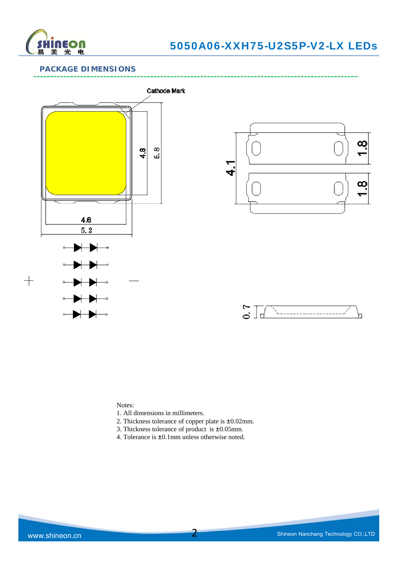

# 5050A06-XXH75-U2S5P-V2-LX LEDs

### **PACKAGE DIMENSIONS**



Notes:

- 1. All dimensions in millimeters.
- 2. Thickness tolerance of copper plate is ±0.02mm.
- 3. Thickness tolerance of product is ±0.05mm.
- 4. Tolerance is ±0.1mm unless otherwise noted.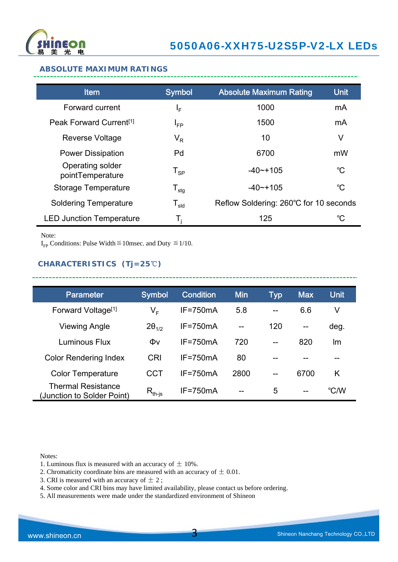

-------------------------------------

#### **ABSOLUTE MAXIMUM RATINGS**

| <b>Item</b>                          | <b>Symbol</b>                | <b>Absolute Maximum Rating</b>         | <b>Unit</b>     |
|--------------------------------------|------------------------------|----------------------------------------|-----------------|
| Forward current                      | ΙF                           | 1000                                   | mA              |
| Peak Forward Current <sup>[1]</sup>  | $I_{FP}$                     | 1500                                   | mA              |
| Reverse Voltage                      | $\mathsf{V}_\mathsf{R}$      | 10                                     | V               |
| <b>Power Dissipation</b>             | Pd                           | 6700                                   | mW              |
| Operating solder<br>pointTemperature | $T_{SP}$                     | $-40$ $-105$                           | $\rm ^{\circ}C$ |
| <b>Storage Temperature</b>           | ${\mathsf T}_{\textsf{stg}}$ | $-40$ $-105$                           | $^{\circ}C$     |
| <b>Soldering Temperature</b>         | ${\mathsf T}_{\textsf{sld}}$ | Reflow Soldering: 260°C for 10 seconds |                 |
| <b>LED Junction Temperature</b>      | T,                           | 125                                    | °C              |

Note:

I<sub>FP</sub> Conditions: Pulse Width  $\leq$  10msec. and Duty  $\leq$  1/10.

# **CHARACTERISTICS (Tj=25**℃**)**

| <b>Parameter</b>                                        | <b>Symbol</b>                        | <b>Condition</b> | <b>Min</b> | Typ | <b>Max</b> | <b>Unit</b> |
|---------------------------------------------------------|--------------------------------------|------------------|------------|-----|------------|-------------|
| Forward Voltage <sup>[1]</sup>                          | V <sub>F</sub>                       | $IF = 750mA$     | 5.8        | --  | 6.6        | V           |
| Viewing Angle                                           | $2\theta_{1/2}$                      | $IF = 750mA$     | $-$        | 120 | $-$        | deg.        |
| Luminous Flux                                           | Φv                                   | $IF = 750mA$     | 720        | $-$ | 820        | Im          |
| <b>Color Rendering Index</b>                            | CRI                                  | $IF = 750mA$     | 80         |     |            |             |
| <b>Color Temperature</b>                                | CCT                                  | $IF = 750mA$     | 2800       | $-$ | 6700       | K           |
| <b>Thermal Resistance</b><br>(Junction to Solder Point) | $\mathsf{R}_{\mathsf{th\text{-}js}}$ | $IF = 750mA$     | --         | 5   | $- -$      | °C/W        |

---------------

Notes:

- 1. Luminous flux is measured with an accuracy of  $\pm$  10%.
- 2. Chromaticity coordinate bins are measured with an accuracy of  $\pm$  0.01.
- 3. CRI is measured with an accuracy of  $\pm$  2;
- 4. Some color and CRI bins may have limited availability, please contact us before ordering.
- 5. All measurements were made under the standardized environment of Shineon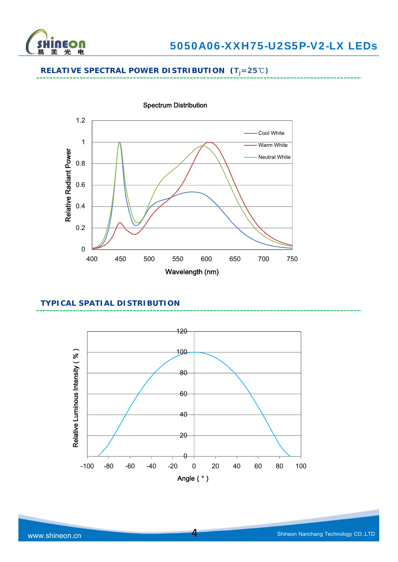

# **RELATIVE SPECTRAL POWER DISTRIBUTION (Tj=25**℃**)**



### Spectrum Distribution

## **TYPICAL SPATIAL DISTRIBUTION**



4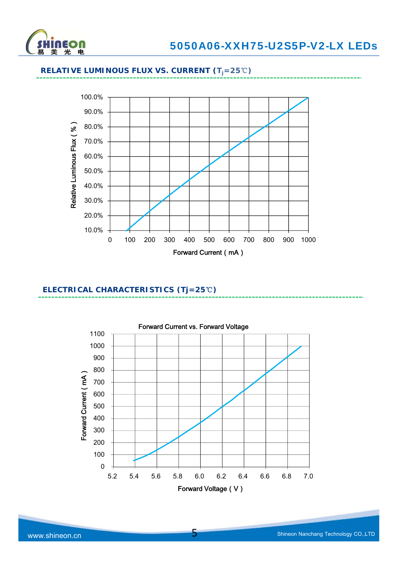



# **RELATIVE LUMINOUS FLUX VS. CURRENT (Tj=25**℃**)**

### **ELECTRICAL CHARACTERISTICS (Tj=25**℃**)**

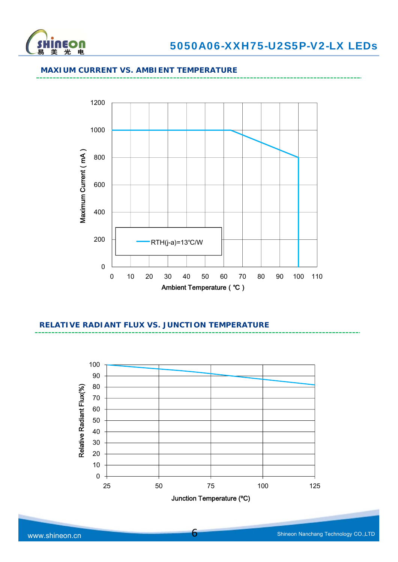

#### **MAXIUM CURRENT VS. AMBIENT TEMPERATURE**



# **RELATIVE RADIANT FLUX VS. JUNCTION TEMPERATURE**

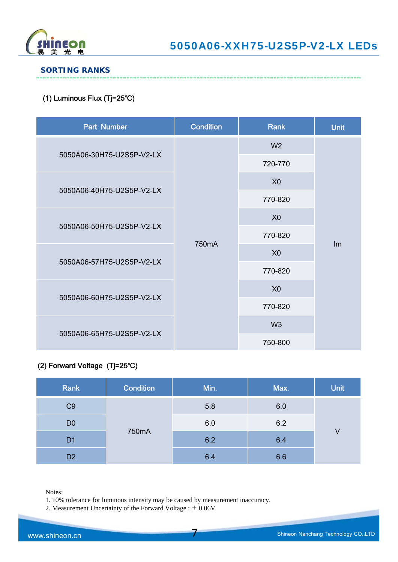

### **SORTING RANKS**

### (1) Luminous Flux (Tj=25℃)

| Part Number               | <b>Condition</b>   | <b>Rank</b>    | <b>Unit</b> |
|---------------------------|--------------------|----------------|-------------|
|                           |                    | W <sub>2</sub> |             |
| 5050A06-30H75-U2S5P-V2-LX |                    | 720-770        |             |
| 5050A06-40H75-U2S5P-V2-LX |                    | X <sub>0</sub> |             |
|                           |                    | 770-820        |             |
| 5050A06-50H75-U2S5P-V2-LX | 750 <sub>m</sub> A | X <sub>0</sub> |             |
|                           |                    | 770-820        |             |
|                           |                    | X <sub>0</sub> | Im          |
| 5050A06-57H75-U2S5P-V2-LX |                    | 770-820        |             |
|                           |                    | X <sub>0</sub> |             |
| 5050A06-60H75-U2S5P-V2-LX |                    | 770-820        |             |
| 5050A06-65H75-U2S5P-V2-LX |                    | W <sub>3</sub> |             |
|                           |                    | 750-800        |             |

# (2) Forward Voltage (Tj=25℃)

| Rank           | <b>Condition</b> | Min. | Max. | <b>Unit</b> |
|----------------|------------------|------|------|-------------|
| C <sub>9</sub> | 750mA            | 5.8  | 6.0  |             |
| D <sub>0</sub> |                  | 6.0  | 6.2  |             |
| D <sub>1</sub> |                  | 6.2  | 6.4  | V           |
| D <sub>2</sub> |                  | 6.4  | 6.6  |             |

7

Notes:

1. 10% tolerance for luminous intensity may be caused by measurement inaccuracy.

2. Measurement Uncertainty of the Forward Voltage : ± 0.06V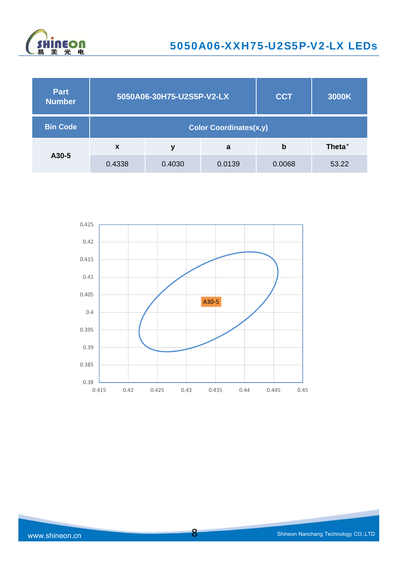

| <b>Part</b><br><b>Number</b> | 5050A06-30H75-U2S5P-V2-LX     |        |        | <b>CCT</b> | 3000K  |  |
|------------------------------|-------------------------------|--------|--------|------------|--------|--|
| <b>Bin Code</b>              | <b>Color Coordinates(x,y)</b> |        |        |            |        |  |
|                              | $\boldsymbol{\mathsf{x}}$     | ν      | a      | b          | Theta° |  |
| A30-5                        | 0.4338                        | 0.4030 | 0.0139 | 0.0068     | 53.22  |  |

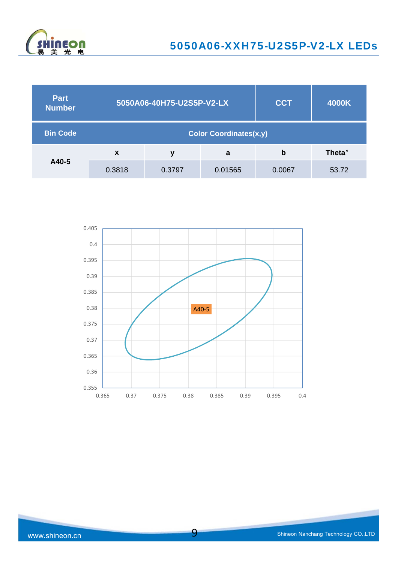

| <b>Part</b><br><b>Number</b> | 5050A06-40H75-U2S5P-V2-LX     |        |         | <b>CCT</b> | 4000K          |  |
|------------------------------|-------------------------------|--------|---------|------------|----------------|--|
| <b>Bin Code</b>              | <b>Color Coordinates(x,y)</b> |        |         |            |                |  |
|                              | $\boldsymbol{x}$              | ۷      | a       | b          | <b>Theta</b> ° |  |
| A40-5                        | 0.3818                        | 0.3797 | 0.01565 | 0.0067     | 53.72          |  |

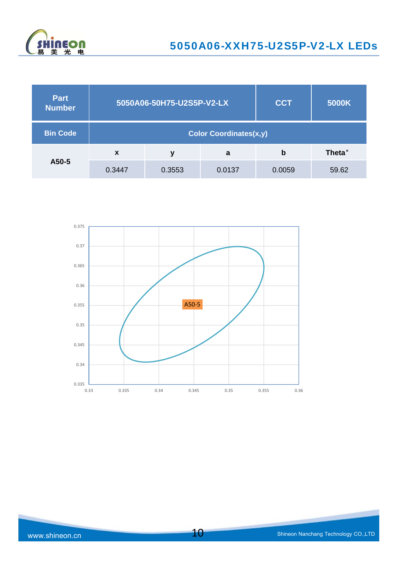

| <b>Part</b><br><b>Number</b> | 5050A06-50H75-U2S5P-V2-LX     |        |        | <b>CCT</b> | 5000K          |  |
|------------------------------|-------------------------------|--------|--------|------------|----------------|--|
| <b>Bin Code</b>              | <b>Color Coordinates(x,y)</b> |        |        |            |                |  |
|                              | $\boldsymbol{x}$              | ۷      | a      | b          | <b>Theta</b> ° |  |
| A50-5                        | 0.3447                        | 0.3553 | 0.0137 | 0.0059     | 59.62          |  |

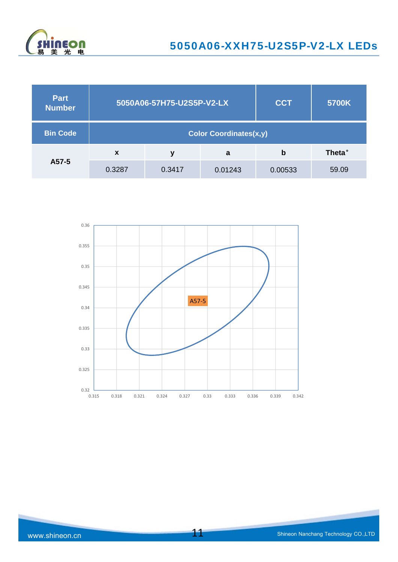

| <b>Part</b><br><b>Number</b> | 5050A06-57H75-U2S5P-V2-LX     |        |         | <b>CCT</b> | 5700K          |  |
|------------------------------|-------------------------------|--------|---------|------------|----------------|--|
| <b>Bin Code</b>              | <b>Color Coordinates(x,y)</b> |        |         |            |                |  |
|                              | $\boldsymbol{\mathsf{x}}$     | v      | a       | b          | <b>Theta</b> ° |  |
| A57-5                        | 0.3287                        | 0.3417 | 0.01243 | 0.00533    | 59.09          |  |

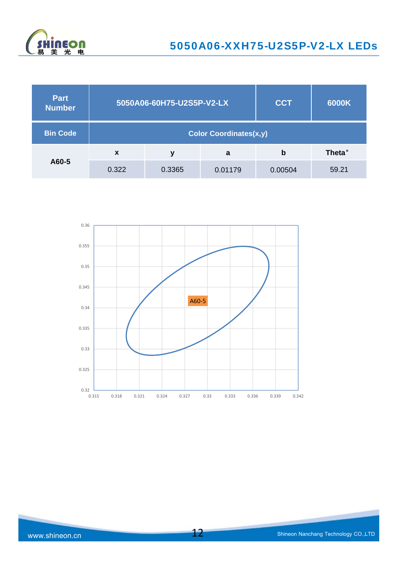

| <b>Part</b><br><b>Number</b> | 5050A06-60H75-U2S5P-V2-LX     |        |         | <b>CCT</b> | 6000K          |  |
|------------------------------|-------------------------------|--------|---------|------------|----------------|--|
| <b>Bin Code</b>              | <b>Color Coordinates(x,y)</b> |        |         |            |                |  |
|                              | X                             | ν      | a       | b          | <b>Theta</b> ° |  |
| A60-5                        | 0.322                         | 0.3365 | 0.01179 | 0.00504    | 59.21          |  |

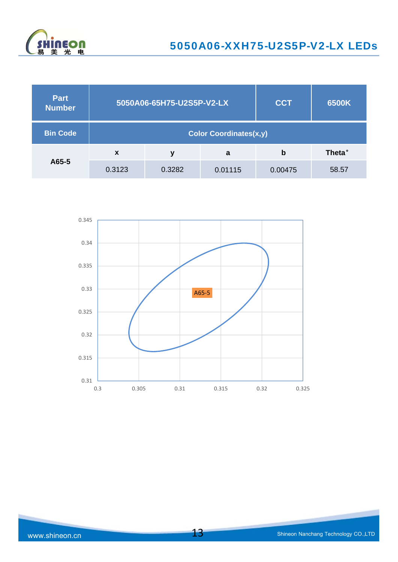

| <b>Part</b><br><b>Number</b> | 5050A06-65H75-U2S5P-V2-LX     |        |         | <b>CCT</b> | 6500K          |  |
|------------------------------|-------------------------------|--------|---------|------------|----------------|--|
| <b>Bin Code</b>              | <b>Color Coordinates(x,y)</b> |        |         |            |                |  |
|                              | $\boldsymbol{x}$              | ν      | a       | b          | <b>Theta</b> ° |  |
| A65-5                        | 0.3123                        | 0.3282 | 0.01115 | 0.00475    | 58.57          |  |

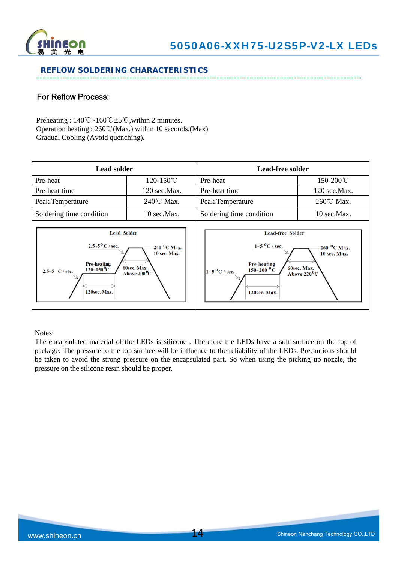

### **REFLOW SOLDERING CHARACTERISTICS**

## For Reflow Process:

Preheating : 140℃~160℃±5℃,within 2 minutes. Operation heating : 260℃(Max.) within 10 seconds.(Max) Gradual Cooling (Avoid quenching).

| <b>Lead solder</b>                                                                                                                                                                                                                          |                        | <b>Lead-free solder</b>                                                                                                                            |                                                                               |  |
|---------------------------------------------------------------------------------------------------------------------------------------------------------------------------------------------------------------------------------------------|------------------------|----------------------------------------------------------------------------------------------------------------------------------------------------|-------------------------------------------------------------------------------|--|
| Pre-heat                                                                                                                                                                                                                                    | 120-150°C              | Pre-heat                                                                                                                                           | 150-200℃                                                                      |  |
| Pre-heat time                                                                                                                                                                                                                               | 120 sec.Max.           | Pre-heat time                                                                                                                                      | 120 sec.Max.                                                                  |  |
| Peak Temperature                                                                                                                                                                                                                            | 240℃ Max.              | Peak Temperature                                                                                                                                   | 260℃ Max.                                                                     |  |
| Soldering time condition                                                                                                                                                                                                                    | $10 \text{ sec}.$ Max. | Soldering time condition                                                                                                                           | 10 sec.Max.                                                                   |  |
| <b>Lead Solder</b><br>$2.5 - 5^{0}$ C / sec.<br>240 <sup>o</sup> C Max.<br><b>10 sec. Max.</b><br><b>Pre-heating</b><br>60sec. Max.<br>$120\text{--}150\text{\,}^0\mathrm{C}$<br>2.5~5 $C / sec$ .<br>Above $200^{\circ}$ C<br>120sec. Max. |                        | <b>Lead-free Solder</b><br>$1 - 5$ °C / sec.<br><b>Pre-heating</b><br>$150 - 200$ <sup>O</sup> C<br>$1\sim5$ <sup>O</sup> C / sec.<br>120sec. Max. | $260~^{\circ}$ C Max.<br>10 sec. Max.<br>60sec. Max.<br>Above $220^{\rm o}$ C |  |

Notes:

The encapsulated material of the LEDs is silicone . Therefore the LEDs have a soft surface on the top of package. The pressure to the top surface will be influence to the reliability of the LEDs. Precautions should be taken to avoid the strong pressure on the encapsulated part. So when using the picking up nozzle, the pressure on the silicone resin should be proper.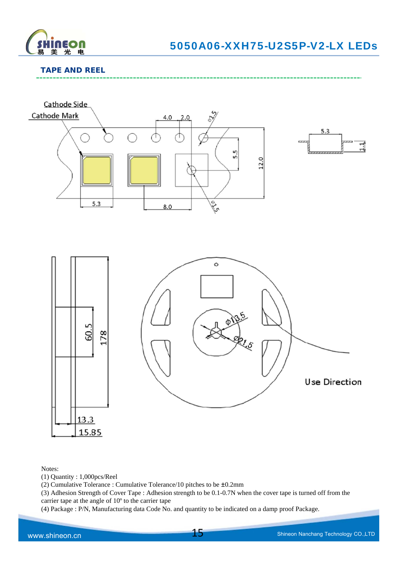

# **TAPE AND REEL**



Notes:

(1) Quantity : 1,000pcs/Reel

(2) Cumulative Tolerance : Cumulative Tolerance/10 pitches to be ±0.2mm

(3) Adhesion Strength of Cover Tape : Adhesion strength to be 0.1-0.7N when the cover tape is turned off from the carrier tape at the angle of 10º to the carrier tape

(4) Package : P/N, Manufacturing data Code No. and quantity to be indicated on a damp proof Package.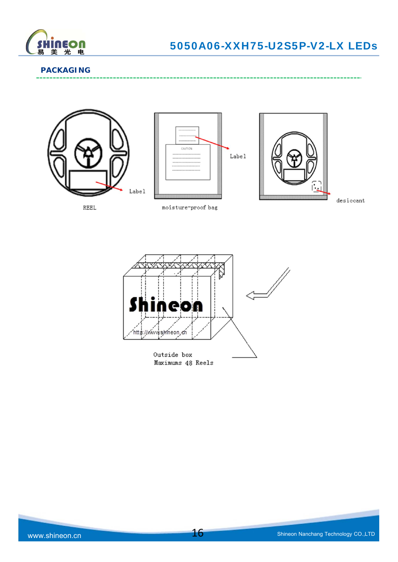

### **PACKAGING**







 $\mathtt{desiccant}$ 

وسامت



moisture-proof bag

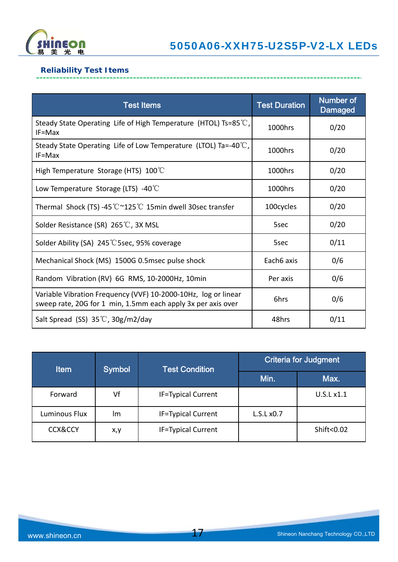

# **Reliability Test Items**

| <b>Test Items</b>                                                                                                              | <b>Test Duration</b> | <b>Number of</b><br><b>Damaged</b> |
|--------------------------------------------------------------------------------------------------------------------------------|----------------------|------------------------------------|
| Steady State Operating Life of High Temperature (HTOL) Ts=85 $\degree$ C,<br>$IF=Max$                                          | 1000hrs              | 0/20                               |
| Steady State Operating Life of Low Temperature (LTOL) Ta=-40 $\degree$ C,<br>$IF=Max$                                          | 1000hrs              | 0/20                               |
| High Temperature Storage (HTS) $100^{\circ}$ C                                                                                 | 1000hrs              | 0/20                               |
| Low Temperature Storage (LTS) -40 $\degree$ C                                                                                  | 1000hrs              | 0/20                               |
| Thermal Shock (TS) -45 ℃~125 ℃ 15min dwell 30sec transfer                                                                      | 100cycles            | 0/20                               |
| Solder Resistance (SR) 265℃, 3X MSL                                                                                            | 5sec                 | 0/20                               |
| Solder Ability (SA) 245 °C 5sec, 95% coverage                                                                                  | 5sec                 | 0/11                               |
| Mechanical Shock (MS) 1500G 0.5msec pulse shock                                                                                | Each6 axis           | 0/6                                |
| Random Vibration (RV) 6G RMS, 10-2000Hz, 10min                                                                                 | Per axis             | 0/6                                |
| Variable Vibration Frequency (VVF) 10-2000-10Hz, log or linear<br>sweep rate, 20G for 1 min, 1.5mm each apply 3x per axis over | 6hrs                 | 0/6                                |
| Salt Spread (SS) $35^{\circ}$ C, $30g/m2$ /day                                                                                 | 48hrs                | 0/11                               |

| <b>Item</b>        | <b>Symbol</b> | <b>Test Condition</b>     | <b>Criteria for Judgment</b> |            |
|--------------------|---------------|---------------------------|------------------------------|------------|
|                    |               |                           | Min.                         | Max.       |
| Forward            | Vf            | <b>IF=Typical Current</b> |                              | U.S.L x1.1 |
| Luminous Flux      | Im            | <b>IF=Typical Current</b> | L.S.Lx0.7                    |            |
| <b>CCX&amp;CCY</b> | x,y           | <b>IF=Typical Current</b> |                              | Shift<0.02 |